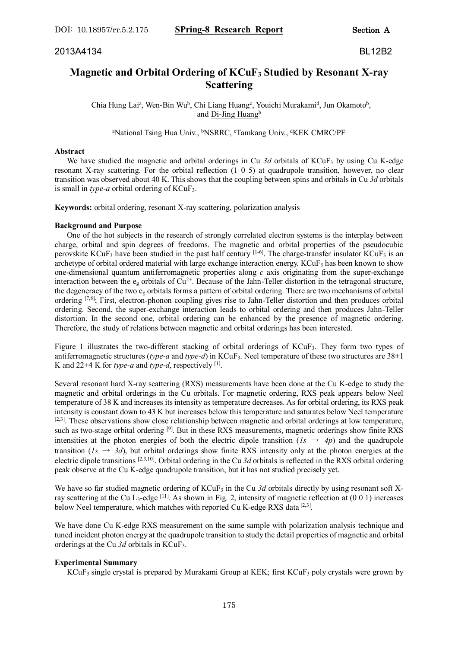# **Magnetic and Orbital Ordering of KCuF<sup>3</sup> Studied by Resonant X-ray Scattering**

Chia Hung Lai<sup>a</sup>, Wen-Bin Wu<sup>b</sup>, Chi Liang Huang<sup>c</sup>, Youichi Murakami<sup>d</sup>, Jun Okamoto<sup>b</sup>, and Di-Jing Huang<sup>b</sup>

<sup>a</sup>National Tsing Hua Univ., <sup>b</sup>NSRRC, <sup>c</sup>Tamkang Univ., <sup>d</sup>KEK CMRC/PF

### **Abstract**

We have studied the magnetic and orbital orderings in Cu 3d orbitals of KCuF<sub>3</sub> by using Cu K-edge resonant X-ray scattering. For the orbital reflection (1 0 5) at quadrupole transition, however, no clear transition was observed about 40 K. This shows that the coupling between spins and orbitals in Cu *3d* orbitals is small in *type-a* orbital ordering of KCuF3.

**Keywords:** orbital ordering, resonant X-ray scattering, polarization analysis

## **Background and Purpose**

 One of the hot subjects in the research of strongly correlated electron systems is the interplay between charge, orbital and spin degrees of freedoms. The magnetic and orbital properties of the pseudocubic perovskite KCuF<sub>3</sub> have been studied in the past half century  $[1-6]$ . The charge-transfer insulator KCuF<sub>3</sub> is an archetype of orbital ordered material with large exchange interaction energy.  $KCuF<sub>3</sub>$  has been known to show one-dimensional quantum antiferromagnetic properties along *c* axis originating from the super-exchange interaction between the  $e_g$  orbitals of  $Cu^{2+}$ . Because of the Jahn-Teller distortion in the tetragonal structure, the degeneracy of the two e<sup>g</sup> orbitals forms a pattern of orbital ordering. There are two mechanisms of orbital ordering [7,8]; First, electron-phonon coupling gives rise to Jahn-Teller distortion and then produces orbital ordering. Second, the super-exchange interaction leads to orbital ordering and then produces Jahn-Teller distortion. In the second one, orbital ordering can be enhanced by the presence of magnetic ordering. Therefore, the study of relations between magnetic and orbital orderings has been interested.

Figure 1 illustrates the two-different stacking of orbital orderings of KCuF3. They form two types of antiferromagnetic structures (*type-a* and *type-d*) in KCuF<sub>3</sub>. Neel temperature of these two structures are  $38\pm1$ K and 22±4 K for *type-a* and *type-d*, respectively [1] .

Several resonant hard X-ray scattering (RXS) measurements have been done at the Cu K-edge to study the magnetic and orbital orderings in the Cu orbitals. For magnetic ordering, RXS peak appears below Neel temperature of 38 K and increases its intensity as temperature decreases. As for orbital ordering, its RXS peak intensity is constant down to 43 K but increases below this temperature and saturates below Neel temperature [2,3]. These observations show close relationship between magnetic and orbital orderings at low temperature, such as two-stage orbital ordering <sup>[9]</sup>. But in these RXS measurements, magnetic orderings show finite RXS intensities at the photon energies of both the electric dipole transition  $(I_s \rightarrow 4p)$  and the quadrupole transition ( $1s \rightarrow 3d$ ), but orbital orderings show finite RXS intensity only at the photon energies at the electric dipole transitions <sup>[2,3,10]</sup>. Orbital ordering in the Cu 3d orbitals is reflected in the RXS orbital ordering peak observe at the Cu K-edge quadrupole transition, but it has not studied precisely yet.

We have so far studied magnetic ordering of KCuF<sub>3</sub> in the Cu 3d orbitals directly by using resonant soft Xray scattering at the Cu L<sub>3</sub>-edge  $[11]$ . As shown in Fig. 2, intensity of magnetic reflection at  $(0\ 0\ 1)$  increases below Neel temperature, which matches with reported Cu K-edge RXS data<sup>[2,3]</sup>.

We have done Cu K-edge RXS measurement on the same sample with polarization analysis technique and tuned incident photon energy at the quadrupole transition to study the detail properties of magnetic and orbital orderings at the Cu *3d* orbitals in KCuF3.

### **Experimental Summary**

KCuF<sup>3</sup> single crystal is prepared by Murakami Group at KEK; first KCuF<sup>3</sup> poly crystals were grown by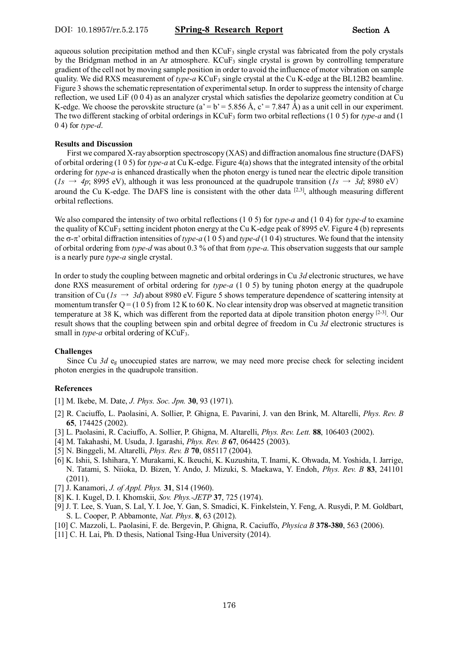aqueous solution precipitation method and then  $KCuF_3$  single crystal was fabricated from the poly crystals by the Bridgman method in an Ar atmosphere. KCuF<sub>3</sub> single crystal is grown by controlling temperature gradient of the cell not by moving sample position in order to avoid the influence of motor vibration on sample quality. We did RXS measurement of *type-a* KCuF<sub>3</sub> single crystal at the Cu K-edge at the BL12B2 beamline. Figure 3 shows the schematic representation of experimental setup. In order to suppress the intensity of charge reflection, we used LiF (0 0 4) as an analyzer crystal which satisfies the depolarize geometry condition at Cu K-edge. We choose the perovskite structure (a' = b' = 5.856 Å, c' = 7.847 Å) as a unit cell in our experiment. The two different stacking of orbital orderings in KCuF<sup>3</sup> form two orbital reflections (1 0 5) for *type-a* and (1 0 4) for *type-d*.

#### **Results and Discussion**

 First we compared X-ray absorption spectroscopy (XAS) and diffraction anomalous fine structure (DAFS) of orbital ordering (1 0 5) for *type-a* at Cu K-edge. Figure 4(a) shows that the integrated intensity of the orbital ordering for *type-a* is enhanced drastically when the photon energy is tuned near the electric dipole transition  $(Is \rightarrow 4p; 8995 \text{ eV})$ , although it was less pronounced at the quadrupole transition  $(Is \rightarrow 3d; 8980 \text{ eV})$ around the Cu K-edge. The DAFS line is consistent with the other data  $[2,3]$ , although measuring different orbital reflections.

We also compared the intensity of two orbital reflections (1 0 5) for *type-a* and (1 0 4) for *type-d* to examine the quality of KCuF<sup>3</sup> setting incident photon energy at the Cu K-edge peak of 8995 eV. Figure 4 (b) represents the  $\sigma$ - $\pi$ ' orbital diffraction intensities of *type-a* (1 0 5) and *type-d* (1 0 4) structures. We found that the intensity of orbital ordering from *type-d* was about 0.3 % of that from *type-a*. This observation suggests that our sample is a nearly pure *type-a* single crystal.

In order to study the coupling between magnetic and orbital orderings in Cu 3d electronic structures, we have done RXS measurement of orbital ordering for *type-a* (1 0 5) by tuning photon energy at the quadrupole transition of Cu ( $Is \rightarrow 3d$ ) about 8980 eV. Figure 5 shows temperature dependence of scattering intensity at momentum transfer  $Q = (1 0 5)$  from 12 K to 60 K. No clear intensity drop was observed at magnetic transition temperature at 38 K, which was different from the reported data at dipole transition photon energy [2-3]. Our result shows that the coupling between spin and orbital degree of freedom in Cu *3d* electronic structures is small in *type-a* orbital ordering of KCuF3.

### **Challenges**

Since Cu  $3d$  e<sub>g</sub> unoccupied states are narrow, we may need more precise check for selecting incident photon energies in the quadrupole transition.

### **References**

- [1] M. Ikebe, M. Date, *J. Phys. Soc. Jpn.* **30**, 93 (1971).
- [2] R. Caciuffo, L. Paolasini, A. Sollier, P. Ghigna, E. Pavarini, J. van den Brink, M. Altarelli, *Phys. Rev. B* **65**, 174425 (2002).
- [3] L. Paolasini, R. Caciuffo, A. Sollier, P. Ghigna, M. Altarelli, *Phys. Rev. Lett.* **88**, 106403 (2002).
- [4] M. Takahashi, M. Usuda, J. Igarashi, *Phys. Rev. B* **67**, 064425 (2003).
- [5] N. Binggeli, M. Altarelli, *Phys. Rev. B* **70**, 085117 (2004).
- [6] K. Ishii, S. Ishihara, Y. Murakami, K. Ikeuchi, K. Kuzushita, T. Inami, K. Ohwada, M. Yoshida, I. Jarrige, N. Tatami, S. Niioka, D. Bizen, Y. Ando, J. Mizuki, S. Maekawa, Y. Endoh, *Phys. Rev. B* **83**, 241101 (2011).
- [7] J. Kanamori, *J. of Appl. Phys.* **31**, S14 (1960).
- [8] K. I. Kugel, D. I. Khomskii, *Sov. Phys.-JETP* **37**, 725 (1974).
- [9] J. T. Lee, S. Yuan, S. Lal, Y. I. Joe, Y. Gan, S. Smadici, K. Finkelstein, Y. Feng, A. Rusydi, P. M. Goldbart, S. L. Cooper, P. Abbamonte, *Nat. Phys*. **8**, 63 (2012).
- [10] C. Mazzoli, L. Paolasini, F. de. Bergevin, P. Ghigna, R. Caciuffo, *Physica B* **378-380**, 563 (2006).
- [11] C. H. Lai, Ph. D thesis, National Tsing-Hua University (2014).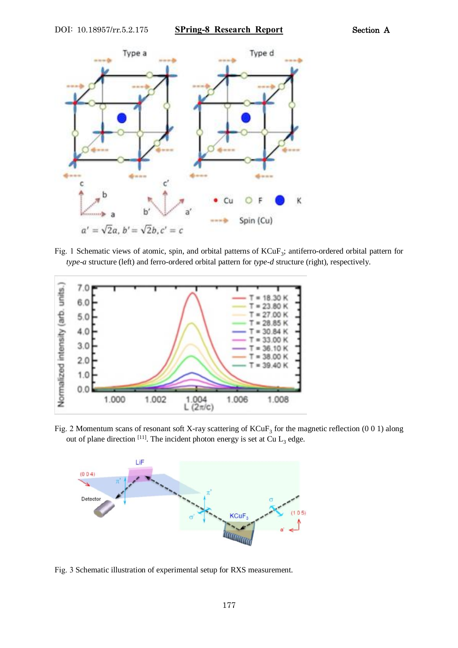

Fig. 1 Schematic views of atomic, spin, and orbital patterns of KCuF<sub>3</sub>; antiferro-ordered orbital pattern for *type-a* structure (left) and ferro-ordered orbital pattern for *type-d* structure (right), respectively.



Fig. 2 Momentum scans of resonant soft X-ray scattering of  $KCuF_3$  for the magnetic reflection (0 0 1) along out of plane direction  $[11]$ . The incident photon energy is set at Cu  $L_3$  edge.



Fig. 3 Schematic illustration of experimental setup for RXS measurement.